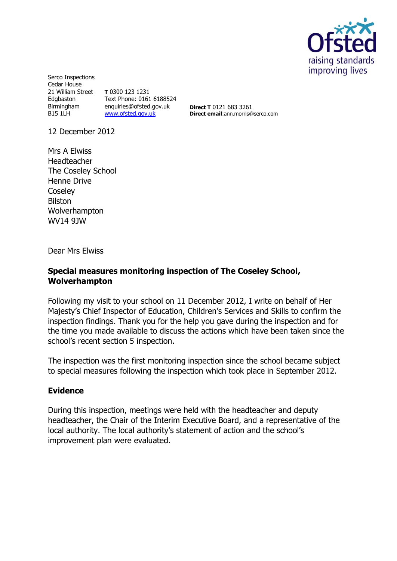

Serco Inspections Cedar House 21 William Street **T** 0300 123 1231 Edgbaston Birmingham enquiries@ofsted.gov.uk B15 1LH Text Phone: 0161 6188524 [www.ofsted.gov.uk](http://www.ofsted.gov.uk/)

**Direct T** 0121 683 3261 **Direct email**:ann.morris@serco.com

12 December 2012

Mrs A Elwiss Headteacher The Coseley School Henne Drive **Coseley** Bilston Wolverhampton WV14 9JW

Dear Mrs Elwiss

# **Special measures monitoring inspection of The Coseley School, Wolverhampton**

Following my visit to your school on 11 December 2012, I write on behalf of Her Majesty's Chief Inspector of Education, Children's Services and Skills to confirm the inspection findings. Thank you for the help you gave during the inspection and for the time you made available to discuss the actions which have been taken since the school's recent section 5 inspection.

The inspection was the first monitoring inspection since the school became subject to special measures following the inspection which took place in September 2012.

## **Evidence**

During this inspection, meetings were held with the headteacher and deputy headteacher, the Chair of the Interim Executive Board, and a representative of the local authority. The local authority's statement of action and the school's improvement plan were evaluated.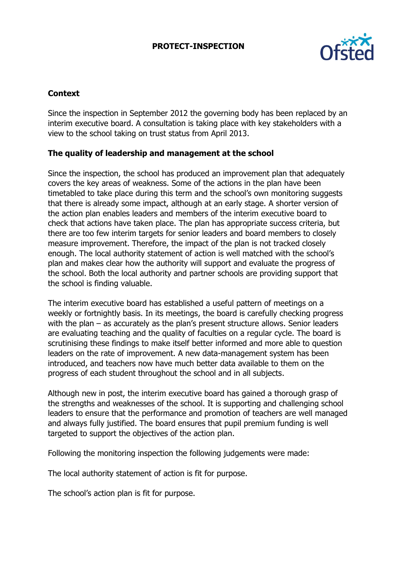# **PROTECT-INSPECTION**



# **Context**

Since the inspection in September 2012 the governing body has been replaced by an interim executive board. A consultation is taking place with key stakeholders with a view to the school taking on trust status from April 2013.

## **The quality of leadership and management at the school**

Since the inspection, the school has produced an improvement plan that adequately covers the key areas of weakness. Some of the actions in the plan have been timetabled to take place during this term and the school's own monitoring suggests that there is already some impact, although at an early stage. A shorter version of the action plan enables leaders and members of the interim executive board to check that actions have taken place. The plan has appropriate success criteria, but there are too few interim targets for senior leaders and board members to closely measure improvement. Therefore, the impact of the plan is not tracked closely enough. The local authority statement of action is well matched with the school's plan and makes clear how the authority will support and evaluate the progress of the school. Both the local authority and partner schools are providing support that the school is finding valuable.

The interim executive board has established a useful pattern of meetings on a weekly or fortnightly basis. In its meetings, the board is carefully checking progress with the plan – as accurately as the plan's present structure allows. Senior leaders are evaluating teaching and the quality of faculties on a regular cycle. The board is scrutinising these findings to make itself better informed and more able to question leaders on the rate of improvement. A new data-management system has been introduced, and teachers now have much better data available to them on the progress of each student throughout the school and in all subjects.

Although new in post, the interim executive board has gained a thorough grasp of the strengths and weaknesses of the school. It is supporting and challenging school leaders to ensure that the performance and promotion of teachers are well managed and always fully justified. The board ensures that pupil premium funding is well targeted to support the objectives of the action plan.

Following the monitoring inspection the following judgements were made:

The local authority statement of action is fit for purpose.

The school's action plan is fit for purpose.